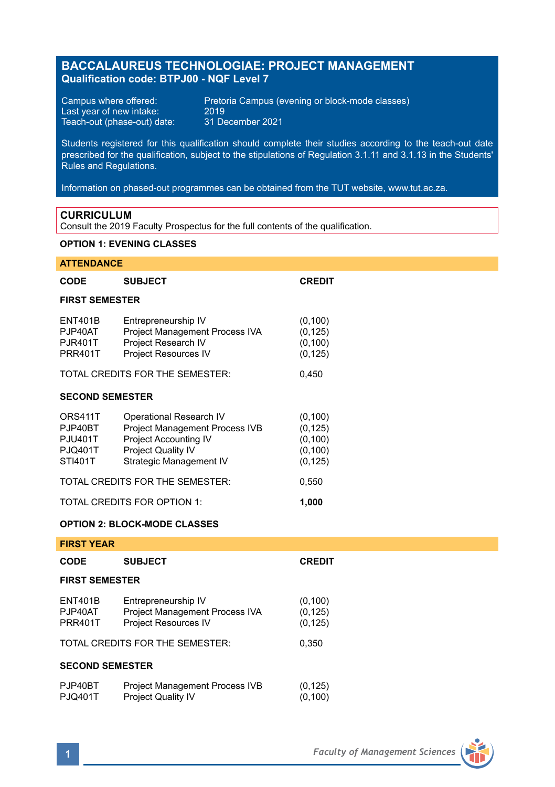# **BACCALAUREUS TECHNOLOGIAE: PROJECT MANAGEMENT Qualification code: BTPJ00 - NQF Level 7**

Last year of new intake: 2019 Teach-out (phase-out) date: 31 December 2021

Campus where offered: Pretoria Campus (evening or block-mode classes)<br>Last year of new intake: 2019

Students registered for this qualification should complete their studies according to the teach-out date prescribed for the qualification, subject to the stipulations of Regulation 3.1.11 and 3.1.13 in the Students' Rules and Regulations.

Information on phased-out programmes can be obtained from the TUT website, www.tut.ac.za.

### **CURRICULUM**

Consult the 2019 Faculty Prospectus for the full contents of the qualification.

### **OPTION 1: EVENING CLASSES**

## **ATTENDANCE**

| <b>CODE</b>                                                       | <b>SUBJECT</b>                                                                                                                                    | <b>CREDIT</b>                                            |  |  |  |
|-------------------------------------------------------------------|---------------------------------------------------------------------------------------------------------------------------------------------------|----------------------------------------------------------|--|--|--|
| <b>FIRST SEMESTER</b>                                             |                                                                                                                                                   |                                                          |  |  |  |
| <b>ENT401B</b><br>PJP40AT<br><b>PJR401T</b><br><b>PRR401T</b>     | Entrepreneurship IV<br>Project Management Process IVA<br>Project Research IV<br><b>Project Resources IV</b>                                       | (0, 100)<br>(0, 125)<br>(0, 100)<br>(0, 125)             |  |  |  |
| TOTAL CREDITS FOR THE SEMESTER:                                   | 0,450                                                                                                                                             |                                                          |  |  |  |
| <b>SECOND SEMESTER</b>                                            |                                                                                                                                                   |                                                          |  |  |  |
| ORS411T<br>PJP40BT<br><b>PJU401T</b><br><b>PJQ401T</b><br>STI401T | Operational Research IV<br>Project Management Process IVB<br><b>Project Accounting IV</b><br><b>Project Quality IV</b><br>Strategic Management IV | (0, 100)<br>(0, 125)<br>(0, 100)<br>(0, 100)<br>(0, 125) |  |  |  |
| TOTAL CREDITS FOR THE SEMESTER:                                   |                                                                                                                                                   |                                                          |  |  |  |
| TOTAL CREDITS FOR OPTION 1:                                       |                                                                                                                                                   |                                                          |  |  |  |

## **OPTION 2: BLOCK-MODE CLASSES**

| FIRST YEAR                    |                                                                                                                  |                                           |  |  |  |
|-------------------------------|------------------------------------------------------------------------------------------------------------------|-------------------------------------------|--|--|--|
| CODE                          | <b>SUBJECT</b>                                                                                                   | <b>CREDIT</b>                             |  |  |  |
| <b>FIRST SEMESTER</b>         |                                                                                                                  |                                           |  |  |  |
| ENT401B<br>PJP40AT<br>PRR401T | Entrepreneurship IV<br>Project Management Process IVA<br>Project Resources IV<br>TOTAL CREDITS FOR THE SEMESTER: | (0, 100)<br>(0, 125)<br>(0, 125)<br>0.350 |  |  |  |
| <b>SECOND SEMESTER</b>        |                                                                                                                  |                                           |  |  |  |
| PJP40BT<br>PJQ401T            | Project Management Process IVB<br><b>Project Quality IV</b>                                                      | (0, 125)<br>(0, 100)                      |  |  |  |

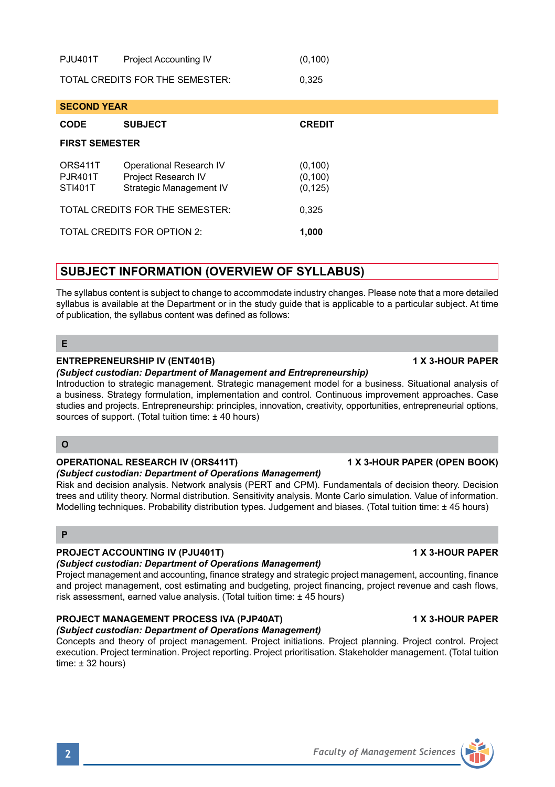| <b>PJU401T</b>                  | <b>Project Accounting IV</b> | (0, 100) |  |
|---------------------------------|------------------------------|----------|--|
| TOTAL CREDITS FOR THE SEMESTER: |                              | 0.325    |  |

| <b>SECOND YEAR</b>                   |                                                                           |                                  |  |  |  |
|--------------------------------------|---------------------------------------------------------------------------|----------------------------------|--|--|--|
| CODE                                 | <b>SUBJECT</b>                                                            | <b>CREDIT</b>                    |  |  |  |
| <b>FIRST SEMESTER</b>                |                                                                           |                                  |  |  |  |
| ORS411T<br><b>PJR401T</b><br>STI401T | Operational Research IV<br>Project Research IV<br>Strategic Management IV | (0, 100)<br>(0, 100)<br>(0, 125) |  |  |  |
| TOTAL CREDITS FOR THE SEMESTER:      | 0.325                                                                     |                                  |  |  |  |
| TOTAL CREDITS FOR OPTION 2:          | 1.000                                                                     |                                  |  |  |  |

# **SUBJECT INFORMATION (OVERVIEW OF SYLLABUS)**

The syllabus content is subject to change to accommodate industry changes. Please note that a more detailed syllabus is available at the Department or in the study guide that is applicable to a particular subject. At time of publication, the syllabus content was defined as follows:

**E**

# **ENTREPRENEURSHIP IV (ENT401B) 1 X 3-HOUR PAPER**

*(Subject custodian: Department of Management and Entrepreneurship)*

Introduction to strategic management. Strategic management model for a business. Situational analysis of a business. Strategy formulation, implementation and control. Continuous improvement approaches. Case studies and projects. Entrepreneurship: principles, innovation, creativity, opportunities, entrepreneurial options, sources of support. (Total tuition time: ± 40 hours)

## **O**

# **OPERATIONAL RESEARCH IV (ORS411T) 1 X 3-HOUR PAPER (OPEN BOOK)**

*(Subject custodian: Department of Operations Management)* Risk and decision analysis. Network analysis (PERT and CPM). Fundamentals of decision theory. Decision trees and utility theory. Normal distribution. Sensitivity analysis. Monte Carlo simulation. Value of information. Modelling techniques. Probability distribution types. Judgement and biases. (Total tuition time: ± 45 hours)

## **P**

# **PROJECT ACCOUNTING IV (PJU401T) 1 X 3-HOUR PAPER**

# *(Subject custodian: Department of Operations Management)*

Project management and accounting, finance strategy and strategic project management, accounting, finance and project management, cost estimating and budgeting, project financing, project revenue and cash flows, risk assessment, earned value analysis. (Total tuition time: ± 45 hours)

# **PROJECT MANAGEMENT PROCESS IVA (PJP40AT) 1 X 3-HOUR PAPER**

*(Subject custodian: Department of Operations Management)* Concepts and theory of project management. Project initiations. Project planning. Project control. Project execution. Project termination. Project reporting. Project prioritisation. Stakeholder management. (Total tuition time: ± 32 hours)